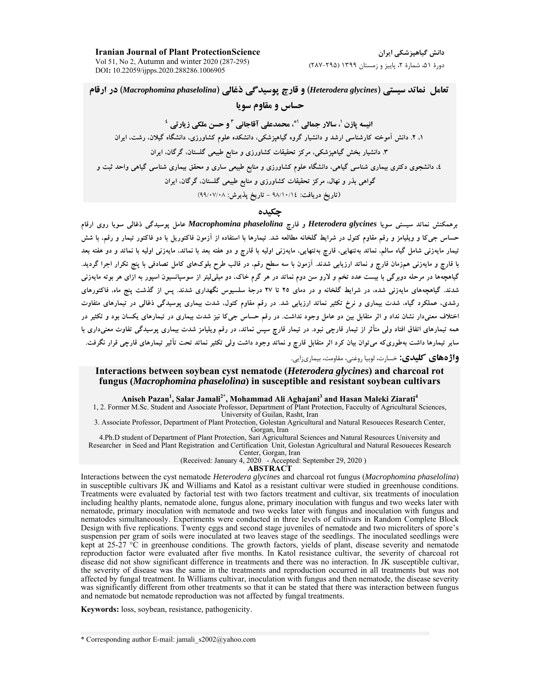**Iranian Journal of Plant ProtectionScience**  Vol 51, No 2, Autumn and winter 2020 (287-295) DOI**:** 10.22059/ijpps.2020.288286.1006905

**تعامل نماتد سيستي (***glycines Heterodera* **(و قارچ پوسيدگي ذغالي (***phaselolina Macrophomina* **(در ارقام حساس و مقاوم سويا** 

**<sup>4</sup>و حسن ملكي زيارتي <sup>3</sup> ، محمدعلي آقاجاني 1\* ، سالار جمالي <sup>1</sup> انيسه پازن** ۱. ۲. دانش آموخته کارشناسی ارشد و دانشیار گروه گیاهپزشکی، دانشکده علوم کشاورزی، دانشگاه گیلان، رشت، ایران **.3 دانشيار بخش گياهپزشكي، مركز تحقيقات كشاورزي و منابع طبيعي گلستان، گرگان، ايران**  ٤. دانشجوی دکتری بیماری شناسی گیاهی. دانشگاه علوم کشاورزی و منابع طبیعی ساری و محقق بیماری شناسی گیاهی واحد ثبت و **گواهي بذر و نهال، مركز تحقيقات كشاورزي و منابع طبيعي گلستان، گرگان، ايران (تاريخ دريافت:** 98/10/14 **- تاريخ پذيرش:** 99/07/08)

#### **چكيده**

**برهمكنش نماتد سيستي سويا** *glycines Heterodera* **و قارچ** *phaselolina Macrophomina* **عامل پوسيدگي ذغالي سويا روي ارقام** حساس جیرکا و ویلیامز و رقم مقاوم کتول در شرایط گلخانه مطالعه شد. تیمارها با استفاده از آزمون فاکتوریل با دو فاکتور تیمار و رقم، با شش تيمار مايەزنى شامل گياه سالم، نماتد بەتنھايى، قارچ بەتنھايى، مايەزنى اوليه با قارچ و دو هفته بعد با نماتدنى اوليه با نماتد و دو هفته بعد با قارچ و مایهزنی همزمان قارچ و نماتد ارزیابی شدند. آزمون با سه سطح رقم، در قالب طرح بلوکهای کامل تصادفی با پنج تکرار اجرا گردید. گیاهچهها در مرحله دوبرگی با بیست عدد تخم و لارو سن دوم نماتد در هر گرم خاک، دو میلیلیتر از سوسپانسیون اسپور به ازای هر بوته مایهزنی شدند. گیاهچههای مایهزنی شده، در شرایط گلخانه و در دمای ۲۵ تا ۲۷ درجهٔ سلسیوس نگهداری شدند. پس از گذشت پنج ماه، فاکتورهای رشدی، عملکرد گیاه، شدت بیماری و نرخ تکثیر نماتد ارزیابی شد. در رقم مقاوم کتول، شدت بیماری یوسیدگی ذغالی در تیمارهای متفاوت .<br>اختلاف معنیدار نشان نداد و اثر متقابل بین دو عامل وجود نداشت. در رقم حساس جیکا نیز شدت بیماری در تیمارهای یکسان بود و تکثیر در همه تیمارهای اتفاق افتاد ولی متأثر از تیمار قارچی نبود. در تیمار قارچ سپس نماتد، در رقم ویلیامز شدت بیماری پوسیدگی تفاوت معنیداری با سایر تیمارها داشت بهطوریکه می توان بیان کرد اثر متقابل قارج و نماتد وجود داشت ولی تکثیر نماتد تحت تأثیر تیمارهای قارجی قرار نگرفت.

**واژههاي كليدي:** خسارت، لوبيا روغني، مقاومت، بيماريزايي**.** 

### **Interactions between soybean cyst nematode (***Heterodera glycines***) and charcoal rot fungus (***Macrophomina phaselolina***) in susceptible and resistant soybean cultivars**

Aniseh Pazan<sup>1</sup>, Salar Jamali<sup>2\*</sup>, Mohammad Ali Aghajani<sup>3</sup> and Hasan Maleki Ziarati<sup>4</sup>

1, 2. Former M.Sc. Student and Associate Professor, Department of Plant Protection, Facculty of Agricultural Sciences, University of Guilan, Rasht, Iran

3. Associate Professor, Department of Plant Protection, Golestan Agricultural and Natural Resoueces Research Center, Gorgan, Iran

4.Ph.D student of Department of Plant Protection, Sari Agricultural Sciences and Natural Resources University and Researcher in Seed and Plant Registration and Certification Unit, Golestan Agricultural and Natural Resoueces Research Center, Gorgan, Iran

(Received: January 4, 2020 - Accepted: September 29, 2020 )

#### **ABSTRACT**

Interactions between the cyst nematode *Heterodera glycines* and charcoal rot fungus (*Macrophomina phaselolina*) in susceptible cultivars JK and Williams and Katol as a resistant cultivar were studied in greenhouse conditions. Treatments were evaluated by factorial test with two factors treatment and cultivar, six treatments of inoculation including healthy plants, nematode alone, fungus alone, primary inoculation with fungus and two weeks later with nematode, primary inoculation with nematode and two weeks later with fungus and inoculation with fungus and nematodes simultaneously. Experiments were conducted in three levels of cultivars in Random Complete Block Design with five replications. Twenty eggs and second stage juveniles of nematode and two microliters of spore's suspension per gram of soils were inoculated at two leaves stage of the seedlings. The inoculated seedlings were kept at 25-27 °C in greenhouse conditions. The growth factors, yields of plant, disease severity and nematode reproduction factor were evaluated after five months. In Katol resistance cultivar, the severity of charcoal rot disease did not show significant difference in treatments and there was no interaction. In JK susceptible cultivar, the severity of disease was the same in the treatments and reproduction occurred in all treatments but was not affected by fungal treatment. In Williams cultivar, inoculation with fungus and then nematode, the disease severity was significantly different from other treatments so that it can be stated that there was interaction between fungus and nematode but nematode reproduction was not affected by fungal treatments.

**Keywords:** loss, soybean, resistance, pathogenicity.

<sup>\*</sup> Corresponding author E-mail: jamali\_s2002@yahoo.com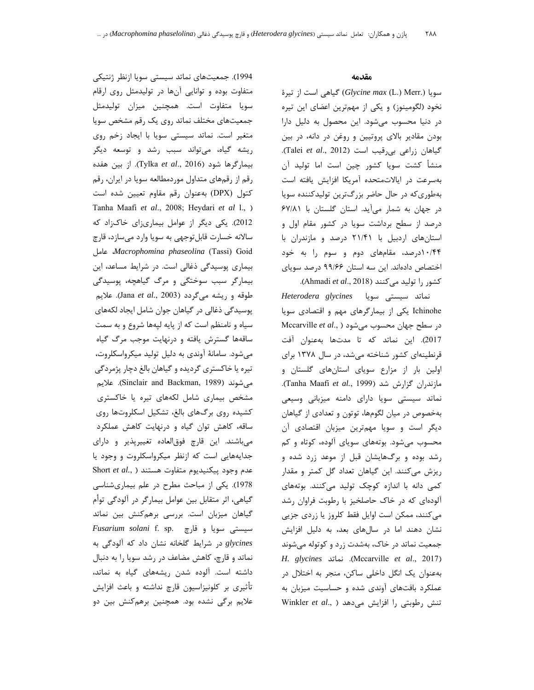1994). جمعيتهاي نماتد سيستي سويا ازنظر ژنتيكي متفاوت بوده و توانايي آنها در توليدمثل روي ارقام سويا متفاوت است. همچنين ميزان توليدمثل جمعيتهاي مختلف نماتد روي يك رقم مشخص سويا متغير است. نماتد سيستي سويا با ايجاد زخم روي ريشه گياه، ميتواند سبب رشد و توسعه ديگر بيمارگرها شود (2016 .,*al et* Tylka(. از بين هفده رقم از رقمهاي متداول موردمطالعه سويا در ايران، رقم كتول (DPX (بهعنوان رقم مقاوم تعيين شده است Tanha Maafi *et al*., 2008; Heydari *et al* l., ) 2012). يكي ديگر از عوامل بيماريزاي خاكزاد كه سالانه خسارت قابلتوجهي به سويا وارد ميسازد، قارچ عامل ،*Macrophomina phaseolina* (Tassi) Goid بيماري پوسيدگي ذغالي است. در شرايط مساعد، اين بيمارگر سبب سوختگي و مرگ گياهچه، پوسيدگي طوقه و ريشه ميگردد (2003 *.*,*al et* Jana(. علايم پوسيدگي ذغالي در گياهان جوان شامل ايجاد لكههاي سياه و نامنظم است كه از پايه لپهها شروع و به سمت ساقهها گسترش يافته و درنهايت موجب مرگ گياه ميشود. سامانة آوندي به دليل توليد ميكرواسكلروت، تيره يا خاكستري گرديده و گياهان بالغ دچار پژمردگي علايم .)Sinclair and Backman, 1989) ميشوند مشخص بيماري شامل لكههاي تيره يا خاكستري كشيده روي برگهاي بالغ، تشكيل اسكلروتها روي ساقه، كاهش توان گياه و درنهايت كاهش عملكرد ميباشند. اين قارچ فوقالعاده تغييرپذير و داراي جدايههايي است كه ازنظر ميكرواسكلروت و وجود يا عدم وجود پيكنيديوم متفاوت هستند ( *.*,*al et* Short 1978). يكي از مباحث مطرح در علم بيماريشناسي گياهي، اثر متقابل بين عوامل بيمارگر در آلودگي توأم گياهان ميزبان است. بررسي برهمكنش بين نماتد سيستي سويا و قارچ .sp .f *solani Fusarium glycines* در شرايط گلخانه نشان داد كه آلودگي به نماتد و قارچ، كاهش مضاعف در رشد سويا را به دنبال داشته است. آلوده شدن ريشههاي گياه به نماتد، تأثيري بر كلونيزاسيون قارچ نداشته و باعث افزايش

علايم برگي نشده بود. همچنين برهمكنش بين دو

#### **مقدمه**

سويا (.Merr) .L (*max Glycine* (گياهي است از تيرة نخود (لگومينوز) و يكي از مهمترين اعضاي اين تيره در دنيا محسوب ميشود. اين محصول به دليل دارا بودن مقادير بالاي پروتيين و روغن در دانه، در بين گياهان زراعي بيرقيب است (2012 .,*al et* Talei(. منشأ كشت سويا كشور چين است اما توليد آن بهسرعت در ايالاتمتحده آمريكا افزايش يافته است بهطوريكه در حال حاضر بزرگترين توليدكننده سويا در جهان به شمار ميآيد. استان گلستان با 67/81 درصد از سطح برداشت سويا در كشور مقام اول و استانهاي اردبيل با 21/41 درصد و مازندران با 10/44درصد، مقامهاي دوم و سوم را به خود اختصاص دادهاند. اين سه استان 99/66 درصد سوياي كشور را توليد ميكنند (2018 .,*al et* Ahmadi(.

نماتد سيستي سويا *glycines Heterodera* Ichinohe يكي از بيمارگرهاي مهم و اقتصادي سويا در سطح جهان محسوب ميشود ( .,*al et* Mccarville 2017). اين نماتد كه تا مدتها بهعنوان آفت قرنطينهاي كشور شناخته ميشد، در سال 1378 براي اولين بار از مزارع سوياي استانهاي گلستان و .(Tanha Maafi *et al.*, 1999) شد گزارش مازندران نماتد سيستي سويا داراي دامنه ميزباني وسيعي بهخصوص در ميان لگومها، توتون و تعدادي از گياهان ديگر است و سويا مهمترين ميزبان اقتصادي آن محسوب ميشود. بوتههاي سوياي آلوده، كوتاه و كم رشد بوده و برگهايشان قبل از موعد زرد شده و ريزش ميكنند. اين گياهان تعداد گل كمتر و مقدار كمي دانه با اندازه كوچك توليد ميكنند. بوتههاي آلودهاي كه در خاك حاصلخيز با رطوبت فراوان رشد ميكنند، ممكن است اوايل فقط كلروز يا زردي جزيي نشان دهند اما در سالهاي بعد، به دليل افزايش جمعيت نماتد در خاك، بهشدت زرد و كوتوله ميشوند *H. glycines* نماتد .)Mccarville *et al*., 2017) بهعنوان يك انگل داخلي ساكن، منجر به اختلال در عملكرد بافتهاي آوندي شده و حساسيت ميزبان به تنش رطوبتي را افزايش ميدهد ( .,*al et* Winkler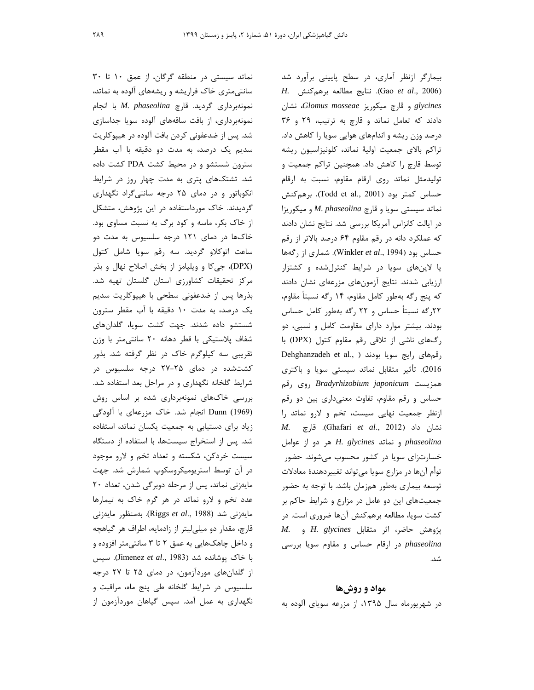نماتد سيستي در منطقه گرگان، از عمق 10 تا 30 سانتيمتري خاك فراريشه و ريشههاي آلوده به نماتد، نمونهبرداري گرديد. قارچ *phaseolina .M* با انجام نمونهبرداري، از بافت ساقههاي آلوده سويا جداسازي شد. پس از ضدعفوني كردن بافت آلوده در هيپوكلريت سديم يك درصد، به مدت دو دقيقه با آب مقطر سترون شستشو و در محيط كشت PDA كشت داده شد. تشتكهاي پتري به مدت چهار روز در شرايط انكوباتور و در دماي 25 درجه سانتيگراد نگهداري گرديدند. خاك مورداستفاده در اين پژوهش، متشكل از خاك بكر، ماسه و كود برگ به نسبت مساوي بود. خاكها در دماي 121 درجه سلسيوس به مدت دو ساعت اتوكلاو گرديد. سه رقم سويا شامل كتول (DPX(، جيكا و ويليامز از بخش اصلاح نهال و بذر مركز تحقيقات كشاورزي استان گلستان تهيه شد. بذرها پس از ضدعفوني سطحي با هيپوكلريت سديم يك درصد، به مدت 10 دقيقه با آب مقطر سترون شستشو داده شدند. جهت كشت سويا، گلدانهاي شفاف پلاستيكي با قطر دهانه 20 سانتيمتر با وزن تقريبي سه كيلوگرم خاك در نظر گرفته شد. بذور كشتشده در دماي -25 27 درجه سلسيوس در شرايط گلخانه نگهداري و در مراحل بعد استفاده شد. بررسي خاكهاي نمونهبرداري شده بر اساس روش (1969) Dunn انجام شد. خاك مزرعهاي با آلودگي زياد براي دستيابي به جمعيت يكسان نماتد، استفاده شد. پس از استخراج سيستها، با استفاده از دستگاه سيست خردكن، شكسته و تعداد تخم و لارو موجود در آن توسط استريوميكروسكوپ شمارش شد. جهت مايهزني نماتد، پس از مرحله دوبرگي شدن، تعداد 20 عدد تخم و لارو نماتد در هر گرم خاك به تيمارها مايهزني شد (1988 .,*al et* Riggs(. بهمنظور مايهزني قارچ، مقدار دو ميليليتر از زادمايه، اطراف هر گياهچه و داخل چاهكهايي به عمق 2 تا 3 سانتيمتر افزوده و با خاك پوشانده شد (1983 .,*al et* Jimenez(. سپس از گلدانهاي موردآزمون، در دماي 25 تا 27 درجه سلسيوس در شرايط گلخانه طي پنج ماه، مراقبت و نگهداري به عمل آمد. سپس گياهان موردآزمون از

بيمارگر ازنظر آماري، در سطح پاييني برآورد شد *H.* برهمكنش مطالعه نتايج .)Gao *et al*., 2006) *glycines* و قارچ ميكوريز *mosseae Glomus*، نشان دادند كه تعامل نماتد و قارچ به ترتيب، 29 و 36 درصد وزن ريشه و اندامهاي هوايي سويا را كاهش داد. تراكم بالاي جمعيت اولية نماتد، كلونيزاسيون ريشه توسط قارچ را كاهش داد. همچنين تراكم جمعيت و توليدمثل نماتد روي ارقام مقاوم، نسبت به ارقام حساس كمتر بود (2001 .,al et Todd(**.** برهمكنش نماتد سيستي سويا و قارچ *phaseolina .M* و ميكوريزا در ايالت كانزاس آمريكا بررسي شد. نتايج نشان دادند كه عملكرد دانه در رقم مقاوم 64 درصد بالاتر از رقم حساس بود (1994 .,*al et* Winkler(. شماري از رگهها يا لاينهاي سويا در شرايط كنترلشده و كشتزار ارزيابي شدند. نتايج آزمونهاي مزرعهاي نشان دادند كه پنج رگه بهطور كامل مقاوم، 14 رگه نسبتاً مقاوم، 22رگه نسبتاً حساس و 22 رگه بهطور كامل حساس بودند. بيشتر موارد داراي مقاومت كامل و نسبي، دو رگهاي ناشي از تلاقي رقم مقاوم كتول (DPX (با Dehghanzadeh et al., ) رقمهاي رايج سويا بودند 2016). تأثير متقابل نماتد سيستي سويا و باكتري همزيست *japonicum Bradyrhizobium* روي رقم حساس و رقم مقاوم، تفاوت معنيداري بين دو رقم ازنظر جمعيت نهايي سيست، تخم و لارو نماتد را *M.* قارچ .)Ghafari *et al*., 2012) داد نشان *phaseolina* و نماتد *glycines .H* هر دو از عوامل خسارتزاي سويا در كشور محسوب ميشوند. حضور توأم آنها در مزارع سويا ميتواند تغييردهندة معادلات توسعه بيماري بهطور همزمان باشد. با توجه به حضور جمعيتهاي اين دو عامل در مزارع و شرايط حاكم بر كشت سويا، مطالعه برهمكنش آنها ضروري است. در پژوهش حاضر، اثر متقابل *glycines .H* و *.M phaseolina* در ارقام حساس و مقاوم سويا بررسي شد.

## **مواد و روشها**

در شهريورماه سال ،1395 از مزرعه سوياي آلوده به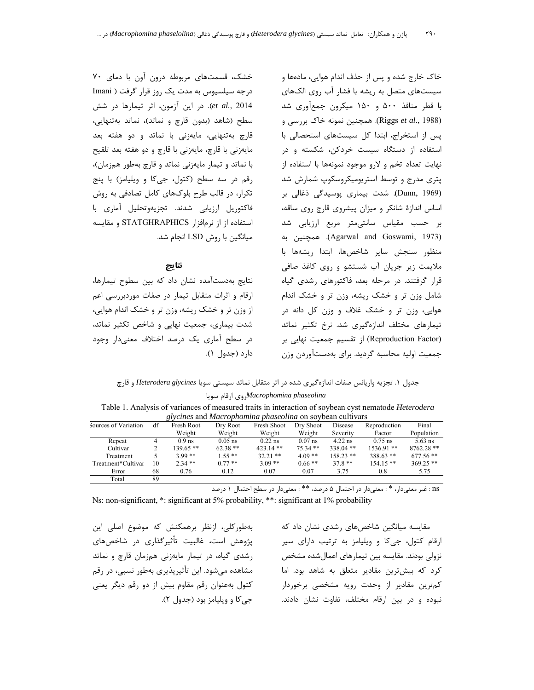خاك خارج شده و پس از حذف اندام هوايي، مادهها و سيستهاي متصل به ريشه با فشار آب روي الكهاي با قطر منافذ 500 و 150 ميكرون جمعآوري شد (1988 .,*al et* Riggs(. همچنين نمونه خاك بررسي و پس از استخراج، ابتدا كل سيستهاي استحصالي با استفاده از دستگاه سيست خردكن، شكسته و در نهايت تعداد تخم و لارو موجود نمونهها با استفاده از پتري مدرج و توسط استريوميكروسكوپ شمارش شد (1969 ,Dunn(. شدت بيماري پوسيدگي ذغالي بر اساس اندازة شانكر و ميزان پيشروي قارچ روي ساقه، بر حسب مقياس سانتيمتر مربع ارزيابي شد به همچنين .)Agarwal and Goswami, 1973) منظور سنجش ساير شاخصها، ابتدا ريشهها با ملايمت زير جريان آب شستشو و روي كاغذ صافي قرار گرفتند. در مرحله بعد، فاكتورهاي رشدي گياه شامل وزن تر و خشك ريشه، وزن تر و خشك اندام هوايي، وزن تر و خشك غلاف و وزن كل دانه در تيمارهاي مختلف اندازهگيري شد. نرخ تكثير نماتد (Reproduction Factor) از تقسيم جمعيت نهايي بر جمعيت اوليه محاسبه گرديد. براي بهدستآوردن وزن

خشك، قسمتهاي مربوطه درون آون با دماي 70 درجه سيلسيوس به مدت يك روز قرار گرفت ( Imani 2014 *.*,*al et*(. در اين آزمون، اثر تيمارها در شش سطح (شاهد (بدون قارچ و نماتد)، نماتد بهتنهايي، قارچ بهتنهايي، مايهزني با نماتد و دو هفته بعد مايهزني با قارچ، مايهزني با قارچ و دو هفته بعد تلقيح با نماتد و تيمار مايهزني نماتد و قارچ بهطور همزمان)، رقم در سه سطح (كتول، جيكا و ويليامز) با پنج تكرار، در قالب طرح بلوكهاي كامل تصادفي به روش فاكتوريل ارزيابي شدند. تجزيهوتحليل آماري با استفاده از از نرمافزار STATGHRAPHICS و مقايسه ميانگين با روش LSD انجام شد.

## **نتايج**

نتايج بهدستآمده نشان داد كه بين سطوح تيمارها، ارقام و اثرات متقابل تيمار در صفات موردبررسي اعم از وزن تر و خشك ريشه، وزن تر و خشك اندام هوايي، شدت بيماري، جمعيت نهايي و شاخص تكثير نماتد، در سطح آماري يك درصد اختلاف معنيدار وجود دارد (جدول 1).

جدول .1 تجزيه واريانس صفات اندازهگيري شده در اثر متقابل نماتد سيستي سويا *glycines Heterodera* و قارچ

 *phaseolina Macrophomina*روي ارقام سويا

| Table 1. Analysis of variances of measured traits in interaction of soybean cyst nematode <i>Heterodera</i> |
|-------------------------------------------------------------------------------------------------------------|
| glycines and Macrophomina phaseolina on soybean cultivars                                                   |

| Sources of Variation | df | Fresh Root | Dry Root   | Fresh Shoot | Dry Shoot | Disease     | Reproduction | Final        |
|----------------------|----|------------|------------|-------------|-----------|-------------|--------------|--------------|
|                      |    | Weight     | Weight     | Weight      | Weight    | Severity    | Factor       | Population   |
| Repeat               |    | $0.9$ ns   | $0.05$ ns. | $0.22$ ns   | $0.07$ ns | $4.22$ ns   | $0.75$ ns.   | $5.63$ ns    |
| Cultivar             |    | 139.65 **  | $62.38**$  | $423.14$ ** | $75.34**$ | $338.04$ ** | $1536.91**$  | $8762.28$ ** |
| Treatment            |    | $3.99**$   | $155**$    | $32.21$ **  | $4.09**$  | $158.23$ ** | $388.63$ **  | $677.56**$   |
| Treatment*Cultivar   | 10 | $2.34**$   | $0.77**$   | $3.09**$    | $0.66**$  | $37.8**$    | $154.15**$   | $369.25$ **  |
| Error                | 68 | 0.76       | 0.12       | 0.07        | 0.07      | 3.75        | 0.8          | 5.75         |
| Total                | 89 |            |            |             |           |             |              |              |

ns : غير معنيدار، \* : معنيدار در احتمال 5 درصد، \*\* : معنيدار در سطح احتمال 1 درصد

Ns: non-significant, \*: significant at 5% probability, \*\*: significant at 1% probability

بهطوركلي، ازنظر برهمكنش كه موضوع اصلي اين پژوهش است، غالبيت تأثيرگذاري در شاخصهاي رشدي گياه، در تيمار مايهزني همزمان قارچ و نماتد مشاهده ميشود. اين تأثيرپذيري بهطور نسبي، در رقم كتول بهعنوان رقم مقاوم بيش از دو رقم ديگر يعني جيكا و ويليامز بود (جدول 2).

مقايسه ميانگين شاخصهاي رشدي نشان داد كه ارقام كتول، جيكا و ويليامز به ترتيب داراي سير نزولي بودند. مقايسه بين تيمارهاي اعمالشده مشخص كرد كه بيشترين مقادير متعلق به شاهد بود. اما كمترين مقادير از وحدت رويه مشخصي برخوردار نبوده و در بين ارقام مختلف، تفاوت نشان دادند.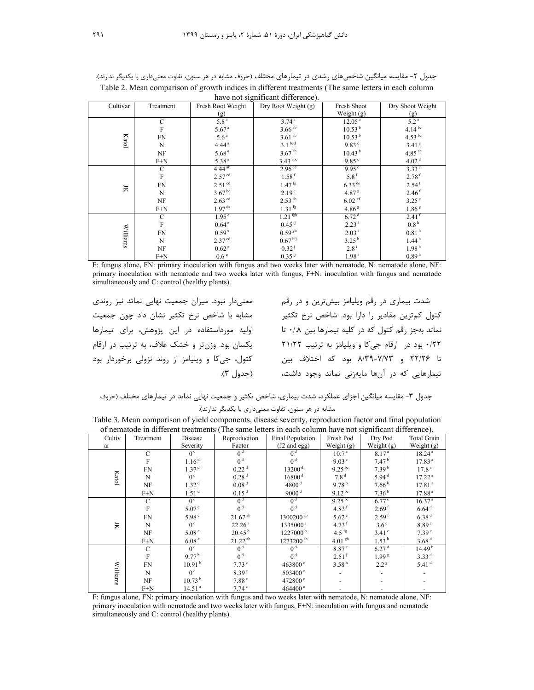|          |               |                         | nave not significant unicience). |                      |                     |
|----------|---------------|-------------------------|----------------------------------|----------------------|---------------------|
| Cultivar | Treatment     | Fresh Root Weight       | Dry Root Weight (g)              | Fresh Shoot          | Dry Shoot Weight    |
|          |               | (g)                     |                                  | Weight $(g)$         | (g)                 |
|          | $\mathcal{C}$ | 5.8 <sup>a</sup>        | 3.74 <sup>a</sup>                | 12.05 <sup>a</sup>   | 5.2 <sup>a</sup>    |
|          | F             | 5.67 <sup>a</sup>       | $3.66$ <sup>ab</sup>             | 10.53 <sup>b</sup>   | $4.14^{bc}$         |
| Katol    | <b>FN</b>     | 5.6 <sup>a</sup>        | $3.61$ <sup>ab</sup>             | 10.53 <sup>b</sup>   | $4.53$ bc           |
|          | N             | 4.44 <sup>a</sup>       | $3.1$ bcd                        | 9.83 <sup>c</sup>    | $3.41$ <sup>e</sup> |
|          | NF            | 5.68 <sup>a</sup>       | $3.67^{ab}$                      | 10.43 <sup>b</sup>   | $4.85\,^{\rm ab}$   |
|          | $F+N$         | 5.38 <sup>a</sup>       | $3.43$ <sup>abc</sup>            | 9.85 <sup>c</sup>    | 4.02 <sup>d</sup>   |
|          | $\mathcal{C}$ | $4.44^{ab}$             | 2.96 <sup>cd</sup>               | 9.95 <sup>c</sup>    | $3.33^e$            |
|          | $\mathbf F$   | 2.57 <sup>cd</sup>      | $1.58$ <sup>f</sup>              | $5.8$ $^{\rm f}$     | $2.78$ <sup>f</sup> |
| K        | <b>FN</b>     | 2.51 <sup>cd</sup>      | $1.47$ <sup>fg</sup>             | $6.33$ <sup>de</sup> | $2.54$ <sup>f</sup> |
|          | N             | $3.67$ <sup>bc</sup>    | 2.19 <sup>e</sup>                | 4.87 $s$             | 2.46 <sup>f</sup>   |
|          | NF            | $2.63$ $\mathrm{^{cd}}$ | $2.53$ <sup>de</sup>             | $6.02$ ef            | $3.25$ <sup>c</sup> |
|          | $F+N$         | $1.97$ <sup>de</sup>    | $1.31\,^{\rm fg}$                | 4.86 <sup>g</sup>    | 1.86 <sup>g</sup>   |
|          | С             | 1.95 <sup>e</sup>       | $1.21$ <sup>fgh</sup>            | 6.72 <sup>d</sup>    | $2.41$ <sup>f</sup> |
| Williams | $\mathbf F$   | 0.64 <sup>e</sup>       | $0.45$ <sup>ij</sup>             | $2.23^{\mathrm{i}}$  | $0.8^{\,\rm h}$     |
|          | <b>FN</b>     | 0.59 <sup>e</sup>       | $0.59$ <sup>gh</sup>             | $2.03^{\rm i}$       | $0.81^{\,\rm h}$    |
|          | N             | 2.37 <sup>cd</sup>      | 0.67 <sup>hij</sup>              | 3.25 <sup>h</sup>    | 1.44 <sup>h</sup>   |
|          | NF            | 0.62 <sup>e</sup>       | $0.32^{j}$                       | $2.8^{i}$            | 1.98 <sup>h</sup>   |
|          | $F+N$         | 0.6e                    | $0.35$ <sup>ij</sup>             | $1.98^{i}$           | 0.89 <sup>h</sup>   |

جدول ۲– مقايسه ميانگين شاخصهاي رشدي در تيمارهاي مختلف (حروف مشابه در هر ستون، تفاوت معنيداري با يكديگر ندارند). Table 2. Mean comparison of growth indices in different treatments (The same letters in each column have not significant difference)

F: fungus alone, FN: primary inoculation with fungus and two weeks later with nematode, N: nematode alone, NF: primary inoculation with nematode and two weeks later with fungus, F+N: inoculation with fungus and nematode simultaneously and C: control (healthy plants).

شدت بيمارى در رقم ويليامز بيشترين و در رقم سمع معنىدار نبود. ميزان جمعيت نهايي نماتد نيز روندى 0/22 بود در ارقام جيكا و ويليامز به ترتيب 21/22 يكسان بود. وزنتر و خشك غلاف، به ترتيب در ارقام مشابه با شاخص نرخ تكثير نشان داد چون جمعيت اوليه مورداستفاده در اين پژوهش، براي تيمارها كتول، جيكا و ويليامز از روند نزولي برخوردار بود (جدول 3).

كتول كمترين مقادير را دارا بود. شاخص نرخ تكثير نماتد بهجز رقم كتول كه در كليه تيمارها بين 0/.8 تا تا 22/26 و 8/39-7/73 بود كه اختلاف بين تيمارهايي كه در آنها مايهزني نماتد وجود داشت،

جدول ٣- مقايسه ميانگين اجزاي عملكرد، شدت بيماري، شاخص تكثير و جمعيت نهايي نماتد در تيمارهاي مختلف (حروف مشابه در هر ستون، تفاوت معنيداري با يكديگر ندارند).

| of nematode in different treatments (The same letters in each column have not significant difference). |  |  |  | Table 3. Mean comparison of yield components, disease severity, reproduction factor and final population |  |
|--------------------------------------------------------------------------------------------------------|--|--|--|----------------------------------------------------------------------------------------------------------|--|
|                                                                                                        |  |  |  |                                                                                                          |  |

| Cultiv   | Treatment   | Disease            | Reproduction           | Final Population          | Fresh Pod            | Dry Pod             | <b>Total Grain</b> |
|----------|-------------|--------------------|------------------------|---------------------------|----------------------|---------------------|--------------------|
| ar       |             | Severity           | Factor<br>(J2 and egg) |                           | Weight $(g)$         | Weight $(g)$        | Weight $(g)$       |
|          | C           | 0 <sup>d</sup>     | 0 <sup>d</sup>         | 0 <sup>d</sup>            | 10.7 <sup>a</sup>    | 8.17 <sup>a</sup>   | 18.24 <sup>a</sup> |
|          | F           | 1.16 <sup>d</sup>  | 0 <sup>d</sup>         | 0 <sup>d</sup>            | 9.03 <sup>c</sup>    | 7.47 <sup>b</sup>   | 17.83 <sup>a</sup> |
|          | <b>FN</b>   | 1.37 <sup>d</sup>  | 0.22 <sup>d</sup>      | 13200 <sup>d</sup>        | $9.25^{bc}$          | 7.39 <sup>b</sup>   | 17.8 <sup>a</sup>  |
| Katol    | N           | 0 <sup>d</sup>     | 0.28 <sup>d</sup>      | 16800 <sup>d</sup>        | 7.8 <sup>d</sup>     | 5.94 <sup>d</sup>   | 17.22 <sup>a</sup> |
|          | NF          | 1.32 <sup>d</sup>  | 0.08 <sup>d</sup>      | 4800 <sup>d</sup>         | 9.78 <sup>b</sup>    | 7.66 <sup>b</sup>   | 17.81 <sup>a</sup> |
|          | $F+N$       | 1.51 <sup>d</sup>  | 0.15 <sup>d</sup>      | 9000 <sup>d</sup>         | $9.12^{bc}$          | 7.36 <sup>b</sup>   | 17.88 <sup>a</sup> |
|          | $\mathbf C$ | 0 <sup>d</sup>     | 0 <sup>d</sup>         | 0 <sup>d</sup>            | $9.25^{bc}$          | 6.77c               | 16.37 <sup>a</sup> |
|          | $\rm F$     | 5.07 <sup>c</sup>  | 0 <sup>d</sup>         | 0 <sup>d</sup>            | 4.83 $f$             | 2.69 <sup>f</sup>   | 6.64 <sup>d</sup>  |
|          | <b>FN</b>   | 5.98 <sup>c</sup>  | $21.67^{ab}$           | $1300200^{\,\mathrm{ab}}$ | 5.62 <sup>e</sup>    | 2.59 <sup>f</sup>   | 6.38 <sup>d</sup>  |
| K        | N           | 0 <sup>d</sup>     | 22.26 <sup>a</sup>     | 1335000 <sup>a</sup>      | $4.73$ <sup>f</sup>  | 3.6 <sup>e</sup>    | 8.89 <sup>c</sup>  |
|          | NF          | 5.08 <sup>c</sup>  | $20.45^{b}$            | $1227000^{\mathrm{b}}$    | $4.5$ fg             | $3.41$ <sup>e</sup> | 7.39 <sup>c</sup>  |
|          | $F+N$       | 6.08 <sup>c</sup>  | $21.22^{ab}$           | 1273200 <sup>ab</sup>     | $4.01$ <sup>gh</sup> | 1.53 <sup>h</sup>   | 3.68 <sup>d</sup>  |
|          | $\mathbf C$ | 0 <sup>d</sup>     | 0 <sup>d</sup>         | 0 <sup>d</sup>            | 8.87 <sup>c</sup>    | 6.27 <sup>d</sup>   | 14.49 <sup>b</sup> |
|          | $\rm F$     | $9.77^{b}$         | 0 <sup>d</sup>         | 0 <sup>d</sup>            | 2.51 <sup>1</sup>    | 1.99 <sup>g</sup>   | 3.33 <sup>d</sup>  |
|          | <b>FN</b>   | 10.91 <sup>b</sup> | 7.73 <sup>c</sup>      | $463800^{\circ}$          | 3.58 <sup>h</sup>    | 2.2 <sup>8</sup>    | 5.41 <sup>d</sup>  |
|          | N           | 0 <sup>d</sup>     | 8.39 <sup>c</sup>      | $503400^{\circ}$          |                      |                     |                    |
| Williams | NF          | 10.73 <sup>b</sup> | 7.88 <sup>c</sup>      | 472800 <sup>c</sup>       |                      |                     |                    |
|          | $F+N$       | 14.51 <sup>a</sup> | $7.74$ <sup>c</sup>    | 464400 <sup>c</sup>       |                      |                     |                    |

F: fungus alone, FN: primary inoculation with fungus and two weeks later with nematode, N: nematode alone, NF: primary inoculation with nematode and two weeks later with fungus, F+N: inoculation with fungus and nematode simultaneously and C: control (healthy plants).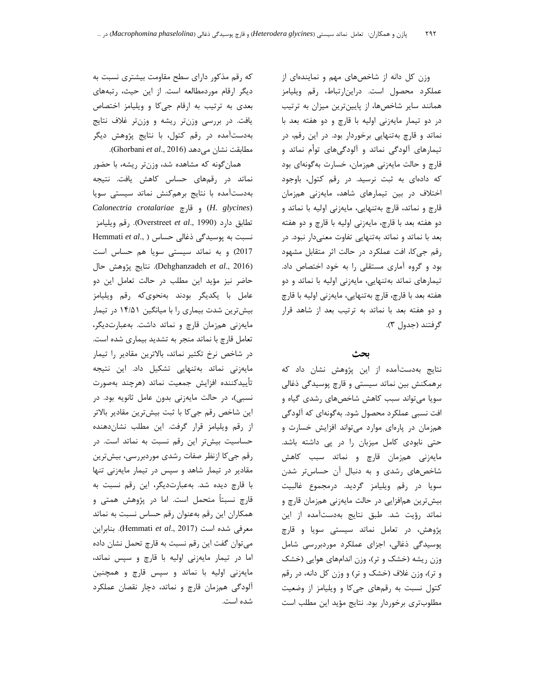وزن كل دانه از شاخصهاي مهم و نمايندهاي از عملكرد محصول است. دراينارتباط، رقم ويليامز همانند ساير شاخصها، از پايينترين ميزان به ترتيب در دو تيمار مايهزني اوليه با قارچ و دو هفته بعد با نماتد و قارچ بهتنهايي برخوردار بود. در اين رقم، در تيمارهاي آلودگي نماتد و آلودگيهاي توأم نماتد و قارچ و حالت مايهزني همزمان، خسارت بهگونهاي بود كه دادهاي به ثبت نرسيد. در رقم كتول، باوجود اختلاف در بين تيمارهاي شاهد، مايهزني همزمان قارچ و نماتد، قارچ بهتنهايي، مايهزني اوليه با نماتد و دو هفته بعد با قارچ، مايهزني اوليه با قارچ و دو هفته بعد با نماتد و نماتد بهتنهايي تفاوت معنيدار نبود. در رقم جيكا، افت عملكرد در حالت اثر متقابل مشهود بود و گروه آماري مستقلي را به خود اختصاص داد. تيمارهاي نماتد بهتنهايي، مايهزني اوليه با نماتد و دو هفته بعد با قارچ، قارچ بهتنهايي، مايهزني اوليه با قارچ و دو هفته بعد با نماتد به ترتيب بعد از شاهد قرار گرفتند (جدول 3).

## **بحث**

نتايج بهدستآمده از اين پژوهش نشان داد كه برهمكنش بين نماتد سيستي و قارچ پوسيدگي ذغالي سويا ميتواند سبب كاهش شاخصهاي رشدي گياه و افت نسبي عملكرد محصول شود. بهگونهاي كه آلودگي همزمان در پارهاي موارد ميتواند افزايش خسارت و حتي نابودي كامل ميزبان را در پي داشته باشد. مايهزني همزمان قارچ و نماتد سبب كاهش شاخصهاي رشدي و به دنبال آن حساستر شدن سويا در رقم ويليامز گرديد. درمجموع غالبيت بيشترين همافزايي در حالت مايهزني همزمان قارچ و نماتد رؤيت شد. طبق نتايج بهدستآمده از اين پژوهش، در تعامل نماتد سيستي سويا و قارچ پوسيدگي ذغالي، اجزاي عملكرد موردبررسي شامل وزن ريشه (خشك و تر)، وزن اندامهاي هوايي (خشك و تر)، وزن غلاف (خشك و تر) و وزن كل دانه، در رقم كتول نسبت به رقمهاي جيكا و ويليامز از وضعيت مطلوبتري برخوردار بود. نتايج مؤيد اين مطلب است

كه رقم مذكور داراي سطح مقاومت بيشتري نسبت به ديگر ارقام موردمطالعه است. از اين حيث، رتبههاي بعدي به ترتيب به ارقام جيكا و ويليامز اختصاص يافت. در بررسي وزنتر ريشه و وزنتر غلاف نتايج بهدستآمده در رقم كتول، با نتايج پژوهش ديگر مطابقت نشان ميدهد (2016 .,*al et* Ghorbani(.

همانگونه كه مشاهده شد، وزنتر ريشه، با حضور نماتد در رقمهاي حساس كاهش يافت. نتيجه بهدستآمده با نتايج برهمكنش نماتد سيستي سويا *Calonectria crotalariae* قارچ و) *H. glycines*) تطابق دارد (1990 .,*al et* Overstreet(. رقم ويليامز نسبت به پوسيدگي ذغالي حساس ( .,*al et* Hemmati 2017) و به نماتد سيستي سويا هم حساس است (2016 .,*al et* Dehghanzadeh(. نتايج پژوهش حال حاضر نيز مؤيد اين مطلب در حالت تعامل اين دو عامل با يكديگر بودند بهنحويكه رقم ويليامز بيشترين شدت بيماري را با ميانگين 14/51 در تيمار مايهزني همزمان قارچ و نماتد داشت. بهعبارتديگر، تعامل قارچ با نماتد منجر به تشديد بيماري شده است. در شاخص نرخ تكثير نماتد، بالاترين مقادير را تيمار مايهزني نماتد بهتنهايي تشكيل داد. اين نتيجه تأييدكننده افزايش جمعيت نماتد (هرچند بهصورت نسبي)، در حالت مايهزني بدون عامل ثانويه بود. در اين شاخص رقم جيكا با ثبت بيشترين مقادير بالاتر از رقم ويليامز قرار گرفت. اين مطلب نشاندهنده حساسيت بيشتر اين رقم نسبت به نماتد است. در رقم جيكا ازنظر صفات رشدي موردبررسي، بيشترين مقادير در تيمار شاهد و سپس در تيمار مايهزني تنها با قارچ ديده شد. بهعبارتديگر، اين رقم نسبت به قارچ نسبتاً متحمل است. اما در پژوهش همتي و همكاران اين رقم بهعنوان رقم حساس نسبت به نماتد معرفي شده است (2017 .,*al et* Hemmati(. بنابراين ميتوان گفت اين رقم نسبت به قارچ تحمل نشان داده اما در تيمار مايهزني اوليه با قارچ و سپس نماتد، مايهزني اوليه با نماتد و سپس قارچ و همچنين آلودگي همزمان قارچ و نماتد، دچار نقصان عملكرد شده است.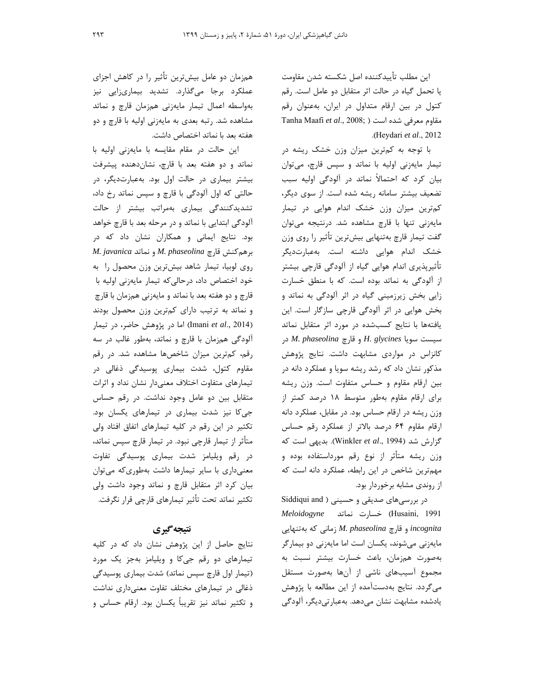اين مطلب تأييدكننده اصل شكسته شدن مقاومت يا تحمل گياه در حالت اثر متقابل دو عامل است. رقم كتول در بين ارقام متداول در ايران، بهعنوان رقم مقاوم معرفي شده است ( ;2008 .,*al et* Maafi Tanha .(Heydari *et al*., 2012

با توجه به كمترين ميزان وزن خشك ريشه در تيمار مايهزني اوليه با نماتد و سپس قارچ، ميتوان بيان كرد كه احتمالاً نماتد در آلودگي اوليه سبب تضعيف بيشتر سامانه ريشه شده است. از سوي ديگر، كمترين ميزان وزن خشك اندام هوايي در تيمار مايهزني تنها با قارچ مشاهده شد. درنتيجه ميتوان گفت تيمار قارچ بهتنهايي بيشترين تأثير را روي وزن خشك اندام هوايي داشته است. بهعبارتديگر تأثيرپذيري اندام هوايي گياه از آلودگي قارچي بيشتر از آلودگي به نماتد بوده است. كه با منطق خسارت زايي بخش زيرزميني گياه در اثر آلودگي به نماتد و بخش هوايي در اثر آلودگي قارچي سازگار است. اين يافتهها با نتايج كسبشده در مورد اثر متقابل نماتد سيست سويا *glycines .H* و قارچ *phaseolina .M* در كانزاس در مواردي مشابهت داشت. نتايج پژوهش مذكور نشان داد كه رشد ريشه سويا و عملكرد دانه در بين ارقام مقاوم و حساس متفاوت است. وزن ريشه براي ارقام مقاوم بهطور متوسط 18 درصد كمتر از وزن ريشه در ارقام حساس بود. در مقابل، عملكرد دانه ارقام مقاوم 64 درصد بالاتر از عملكرد رقم حساس گزارش شد (1994 .,*al et* Winkler(. بديهي است كه وزن ريشه متأثر از نوع رقم مورداستفاده بوده و مهمترين شاخص در اين رابطه، عملكرد دانه است كه از روندي مشابه برخوردار بود.

در بررسيهاي صديقي و حسيني ( and Siddiqui 1991 ,Husaini (خسارت نماتد *Meloidogyne incognita* و قارچ *phaseolina .M* زماني كه بهتنهايي مايهزني ميشوند، يكسان است اما مايهزني دو بيمارگر بهصورت همزمان، باعث خسارت بيشتر نسبت به مجموع آسيبهاي ناشي از آنها بهصورت مستقل ميگردد. نتايج بهدستآمده از اين مطالعه با پژوهش يادشده مشابهت نشان ميدهد. بهعبارتيديگر، آلودگي

همزمان دو عامل بيشترين تأثير را در كاهش اجزاي عملكرد برجا ميگذارد. تشديد بيماريزايي نيز بهواسطه اعمال تيمار مايهزني همزمان قارچ و نماتد مشاهده شد. رتبه بعدي به مايهزني اوليه با قارچ و دو هفته بعد با نماتد اختصاص داشت.

اين حالت در مقام مقايسه با مايهزني اوليه با نماتد و دو هفته بعد با قارچ، نشاندهنده پيشرفت بيشتر بيماري در حالت اول بود. بهعبارتديگر، در حالتي كه اول آلودگي با قارچ و سپس نماتد رخ داد، تشديدكنندگي بيماري بهمراتب بيشتر از حالت آلودگي ابتدايي با نماتد و در مرحله بعد با قارچ خواهد بود. نتايج ايماني و همكاران نشان داد كه در برهمكنش قارچ *phaseolina .M* و نماتد *javanica .M* روي لوبيا، تيمار شاهد بيشترين وزن محصول را به خود اختصاص داد، درحاليكه تيمار مايهزني اوليه با قارچ و دو هفته بعد با نماتد و مايهزني همزمان با قارچ و نماتد به ترتيب داراي كمترين وزن محصول بودند (2014 .*,al et* Imani (اما در پژوهش حاضر، در تيمار آلودگي همزمان با قارچ و نماتد، بهطور غالب در سه رقم، كمترين ميزان شاخصها مشاهده شد. در رقم مقاوم كتول، شدت بيماري پوسيدگي ذغالي در تيمارهاي متفاوت اختلاف معنيدار نشان نداد و اثرات متقابل بين دو عامل وجود نداشت. در رقم حساس جيكا نيز شدت بيماري در تيمارهاي يكسان بود. تكثير در اين رقم در كليه تيمارهاي اتفاق افتاد ولي متأثر از تيمار قارچي نبود. در تيمار قارچ سپس نماتد، در رقم ويليامز شدت بيماري پوسيدگي تفاوت معنيداري با ساير تيمارها داشت بهطوريكه ميتوان بيان كرد اثر متقابل قارچ و نماتد وجود داشت ولي تكثير نماتد تحت تأثير تيمارهاي قارچي قرار نگرفت.

# **نتيجهگيري**

نتايج حاصل از اين پژوهش نشان داد كه در كليه تيمارهاي دو رقم جيكا و ويليامز بهجز يك مورد (تيمار اول قارچ سپس نماتد) شدت بيماري پوسيدگي ذغالي در تيمارهاي مختلف تفاوت معنيداري نداشت و تكثير نماتد نيز تقريباً يكسان بود. ارقام حساس و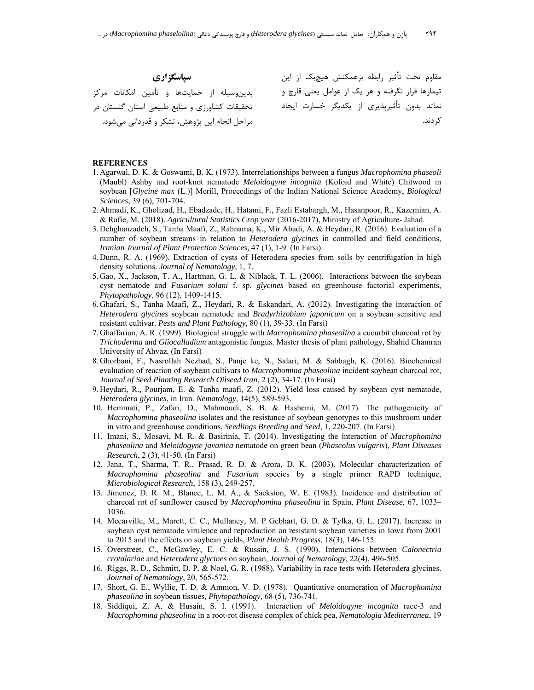**سپاسگزاري** 

بدينوسيله از حمايتها و تأمين امكانات مركز تحقيقات كشاورزي و منابع طبيعي استان گلستان در مراحل انجام اين پژوهش، تشكر و قدرداني ميشود. مقاوم تحت تأثير رابطه برهمكنش هيچيك از اين تيمارها قرار نگرفته و هر يك از عوامل يعني قارچ و نماتد بدون تأثيرپذيري از يكديگر خسارت ايجاد كردند.

#### **REFERENCES**

- 1. Agarwal, D. K. & Goswami, B. K. (1973). Interrelationships between a fungus *Macrophomina phaseoli* (Maubl) Ashby and root-knot nematode *Meloidogyne incognita* (Kofoid and White) Chitwood in soybean [*Glycine max* (L.)] Merill, Proceedings of the Indian National Science Academy, *Biological Sciences*, 39 (6), 701-704.
- 2. Ahmadi, K., Gholizad, H., Ebadzade, H., Hatami, F., Fazli Estabargh, M., Hasanpoor, R., Kazemian, A. & Rafie, M. (2018). *Agricultural Statistics Crop year* (2016-2017), Ministry of Agriculture- Jahad.
- 3. Dehghanzadeh, S., Tanha Maafi, Z., Rahnama, K., Mir Abadi, A. & Heydari, R. (2016). Evaluation of a number of soybean streams in relation to *Heterodera glycines* in controlled and field conditions, *Iranian Journal of Plant Protection Sciences,* 47 (1), 1-9. (In Farsi)
- 4. Dunn, R. A. (1969). Extraction of cysts of Heterodera species from soils by centrifugation in high density solutions. *Journal of Nematology*, 1, 7.
- 5. Gao, X., Jackson, T. A., Hartman, G. L. & Niblack, T. L. (2006). Interactions between the soybean cyst nematode and *Fusarium solani* f. sp. *glycines* based on greenhouse factorial experiments, *Phytopathology*, 96 (12), 1409-1415.
- 6. Ghafari, S., Tanha Maafi, Z., Heydari, R. & Eskandari, A. (2012). Investigating the interaction of *Heterodera glycines* soybean nematode and *Bradyrhizobium japonicum* on a soybean sensitive and resistant cultivar. *Pests and Plant Pathology,* 80 (1), 39-33. (In Farsi)
- 7. Ghaffarian, A. R. (1999). Biological struggle with *Macrophomina phaseolina* a cucurbit charcoal rot by *Trichoderma* and *Gliocalladium* antagonistic fungus. Master thesis of plant pathology, Shahid Chamran University of Ahvaz. (In Farsi)
- 8. Ghorbani, F., Nasrollah Nezhad, S., Panje ke, N., Salari, M. & Sabbagh, K. (2016). Biochemical evaluation of reaction of soybean cultivars to *Macrophomina phaseolina* incident soybean charcoal rot*, Journal of Seed Planting Research Oilseed Iran*, 2 (2), 34-17. (In Farsi)
- 9. Heydari, R., Pourjam, E. & Tanha maafi, Z. (2012). Yield loss caused by soybean cyst nematode, *Heterodera glycines*, in Iran. *Nematology*, 14(5), 589-593.
- 10. Hemmati, P., Zafari, D., Mahmoudi, S. B. & Hashemi, M. (2017). The pathogenicity of *Macrophomina phaseolina* isolates and the resistance of soybean genotypes to this mushroom under in vitro and greenhouse conditions, *Seedlings Breeding and Seed*, 1, 220-207. (In Farsi)
- 11. Imani, S., Mosavi, M. R. & Basirinia, T. (2014). Investigating the interaction of *Macrophomina phaseolina* and *Meloidogyne javanica* nematode on green bean (*Phaseolus vulgaris*), *Plant Diseases Research*, 2 (3), 41-50. (In Farsi)
- 12. Jana, T., Sharma, T. R., Prasad, R. D. & Arora, D. K. (2003). Molecular characterization of *Macrophomina phaseolina* and *Fusarium* species by a single primer RAPD technique, *Microbiological Research*, 158 (3), 249-257.
- 13. Jimenez, D. R. M., Blance, L. M. A., & Sackston, W. E. (1983). Incidence and distribution of charcoal rot of sunflower caused by *Macrophomina phaseolina* in Spain, *Plant Disease*, 67, 1033– 1036.
- 14. Mccarville, M., Marett, C. C., Mullaney, M. P Gebhart, G. D. & Tylka, G. L. (2017). Increase in soybean cyst nematode virulence and reproduction on resistant soybean varieties in Iowa from 2001 to 2015 and the effects on soybean yields, *Plant Health Progress,* 18(3), 146-155.
- 15. Overstreet, C., McGawley, E. C. & Russin, J. S. (1990). Interactions between *Calonectria crotalariae* and *Heterodera glycines* on soybean, *Journal of Nematology*, 22(4), 496-505.
- 16. Riggs, R. D., Schmitt, D. P. & Noel, G. R. (1988). Variability in race tests with Heterodera glycines. *Journal of Nematology*, 20, 565-572.
- 17. Short, G. E., Wyllie, T. D. & Ammon, V. D. (1978). Quantitative enumeration of *Macrophomina phaseolina* in soybean tissues, *Phytopathology*, 68 (5), 736-741.
- 18. Siddiqui, Z. A. & Husain, S. I. (1991). Interaction of *Meloidogyne incognita* race-3 and *Macrophomina phaseolina* in a root-rot disease complex of chick pea, *Nematologia Mediterranea*, 19